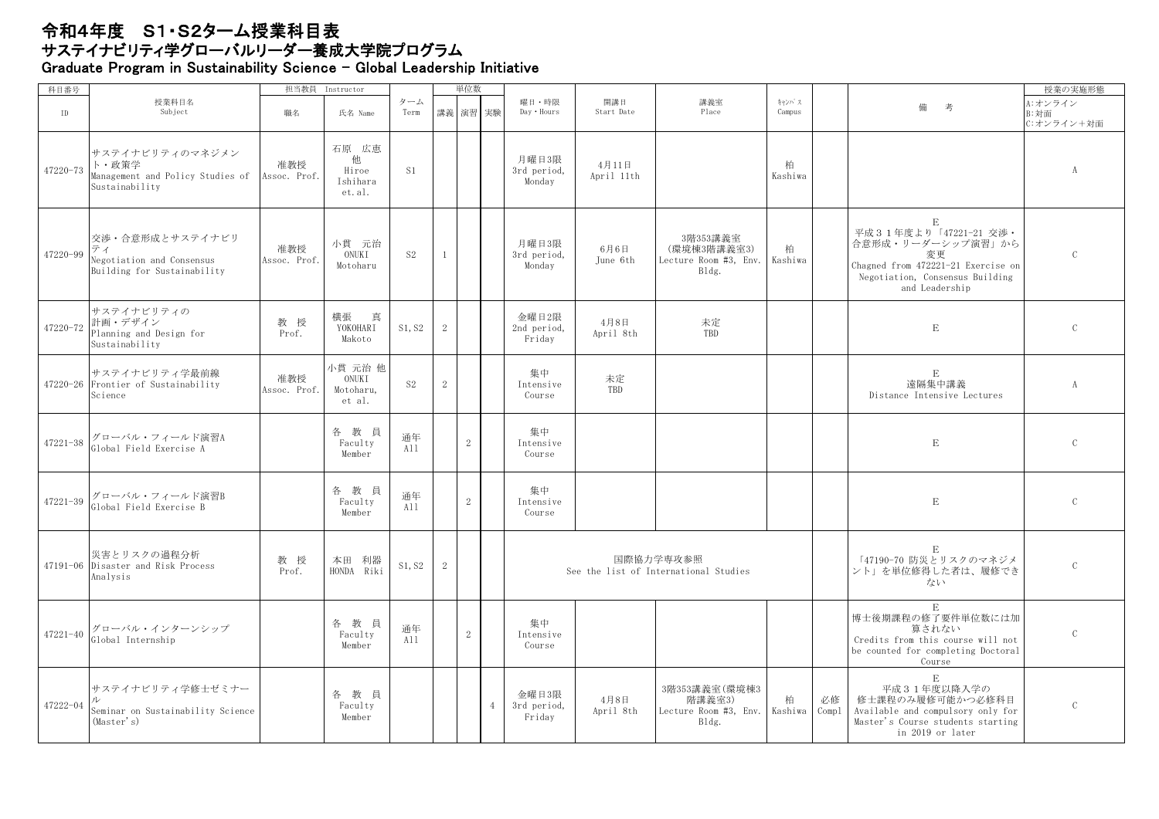## 令和4年度 S1・S2ターム授業科目表 サステイナビリティ学グローバンバン・ロース<br>サステイナビリティ学グローバルリーダー養成大学院プログラム Graduate Program in Sustainability Science - Global Leadership Initiative

| 科目番号         |                                                                                   | 担当教員                | Instructor                                |                |                | 単位数            |                |                                |                     |                                                            |                 |             |                                                                                                                                                            | 授業の実施形態                       |
|--------------|-----------------------------------------------------------------------------------|---------------------|-------------------------------------------|----------------|----------------|----------------|----------------|--------------------------------|---------------------|------------------------------------------------------------|-----------------|-------------|------------------------------------------------------------------------------------------------------------------------------------------------------------|-------------------------------|
| ID           | 授業科目名<br>Subject                                                                  | 職名                  | 氏名 Name                                   | ターム<br>Term    |                | 講義 演習 実験       |                | 曜日·時限<br>Day . Hours           | 開講日<br>Start Date   | 講義室<br>Place                                               | キャンパス<br>Campus |             | 備<br>考                                                                                                                                                     | A:オンライン<br>B:対面<br>C:オンライン+対面 |
| $47220 - 73$ | サステイナビリティのマネジメン<br>ト・政策学<br>Management and Policy Studies of<br>Sustainability    | 准教授<br>Assoc. Prof. | 石原 広恵<br>他<br>Hiroe<br>Ishihara<br>et.al. | S1             |                |                |                | 月曜日3限<br>3rd period,<br>Monday | 4月11日<br>April 11th |                                                            | 柏<br>Kashiwa    |             |                                                                                                                                                            | $\mathbf{A}$                  |
| 47220-99     | 交渉・合意形成とサステイナビリ<br>ティ<br>Negotiation and Consensus<br>Building for Sustainability | 准教授<br>Assoc. Prof. | 小貫 元治<br>ONUKI<br>Motoharu                | S <sub>2</sub> | 1              |                |                | 月曜日3限<br>3rd period,<br>Monday | 6月6日<br>June 6th    | 3階353講義室<br>(環境棟3階講義室3)<br>Lecture Room #3, Env.<br>Bldg.  | 柏<br>Kashiwa    |             | $\mathbf E$<br>平成31年度より「47221-21 交渉・<br>合意形成・リーダーシップ演習」から<br>変更<br>Chagned from 472221-21 Exercise on<br>Negotiation, Consensus Building<br>and Leadership | $\mathcal{C}$                 |
| 47220-72     | サステイナビリティの<br>計画・デザイン<br>Planning and Design for<br>Sustainability                | 教 授<br>Prof.        | 横張<br>真<br>YOKOHARI<br>Makoto             | S1, S2         | $\mathbf{2}$   |                |                | 令曜日2限<br>2nd period,<br>Friday | 4月8日<br>April 8th   | 未定<br>TBD                                                  |                 |             | $\mathbf E$                                                                                                                                                | $\mathcal{C}$                 |
|              | サステイナビリティ学最前線<br>47220-26 Frontier of Sustainability<br>Science                   | 准教授<br>Assoc. Prof. | 小貫 元治 他<br>ONUKI<br>Motoharu,<br>et al.   | S <sub>2</sub> | $\overline{2}$ |                |                | 集中<br>Intensive<br>Course      | 未定<br>TBD           |                                                            |                 |             | $\mathbf E$<br>遠隔集中講義<br>Distance Intensive Lectures                                                                                                       | A                             |
| 47221-38     | グローバル・フィールド演習A<br>Global Field Exercise A                                         |                     | 各教員<br>Faculty<br>Member                  | 通年<br>All      |                | 2              |                | 集中<br>Intensive<br>Course      |                     |                                                            |                 |             | $\mathbf E$                                                                                                                                                | $\mathcal{C}$                 |
| 47221-39     | グローバル・フィールド演習B<br>Global Field Exercise B                                         |                     | 各教員<br>Faculty<br>Member                  | 通年<br>All      |                | 2              |                | 集中<br>Intensive<br>Course      |                     |                                                            |                 |             | $\mathbf E$                                                                                                                                                | $\mathcal{C}$                 |
|              | 災害とリスクの過程分析<br>47191-06 Disaster and Risk Process<br>Analysis                     | 教 授<br>Prof.        | 本田 利器<br>HONDA Riki                       | S1, S2         | $\mathbf{2}$   |                |                |                                |                     | 国際協力学専攻参照<br>See the list of International Studies         |                 |             | $\mathbf E$<br>「47190-70 防災とリスクのマネジメ<br>ント」を単位修得した者は、履修でき<br>ない                                                                                            | $\mathcal{C}$                 |
| 47221-40     | グローバル・インターンシップ<br>Global Internship                                               |                     | 各教員<br>Faculty<br>Member                  | 通年<br>All      |                | $\overline{2}$ |                | 集中<br>Intensive<br>Course      |                     |                                                            |                 |             | E<br>博士後期課程の修了要件単位数には加<br>算されない<br>Credits from this course will not<br>be counted for completing Doctoral<br>Course                                       | $\mathcal{C}$                 |
| 47222-04     | サステイナビリティ学修士ゼミナー<br>Seminar on Sustainability Science<br>(Master's)               |                     | 各教員<br>Faculty<br>Member                  |                |                |                | $\overline{4}$ | 金曜日3限<br>3rd period,<br>Friday | 4月8日<br>April 8th   | 3階353講義室 (環境棟3<br>階講義室3)<br>Lecture Room #3, Env.<br>Bldg. | 柏<br>Kashiwa    | 必修<br>Compl | $\mathbf E$<br>平成31年度以降入学の<br>修士課程のみ履修可能かつ必修科目<br>Available and compulsory only for<br>Master's Course students starting<br>in 2019 or later               | $\mathcal{C}$                 |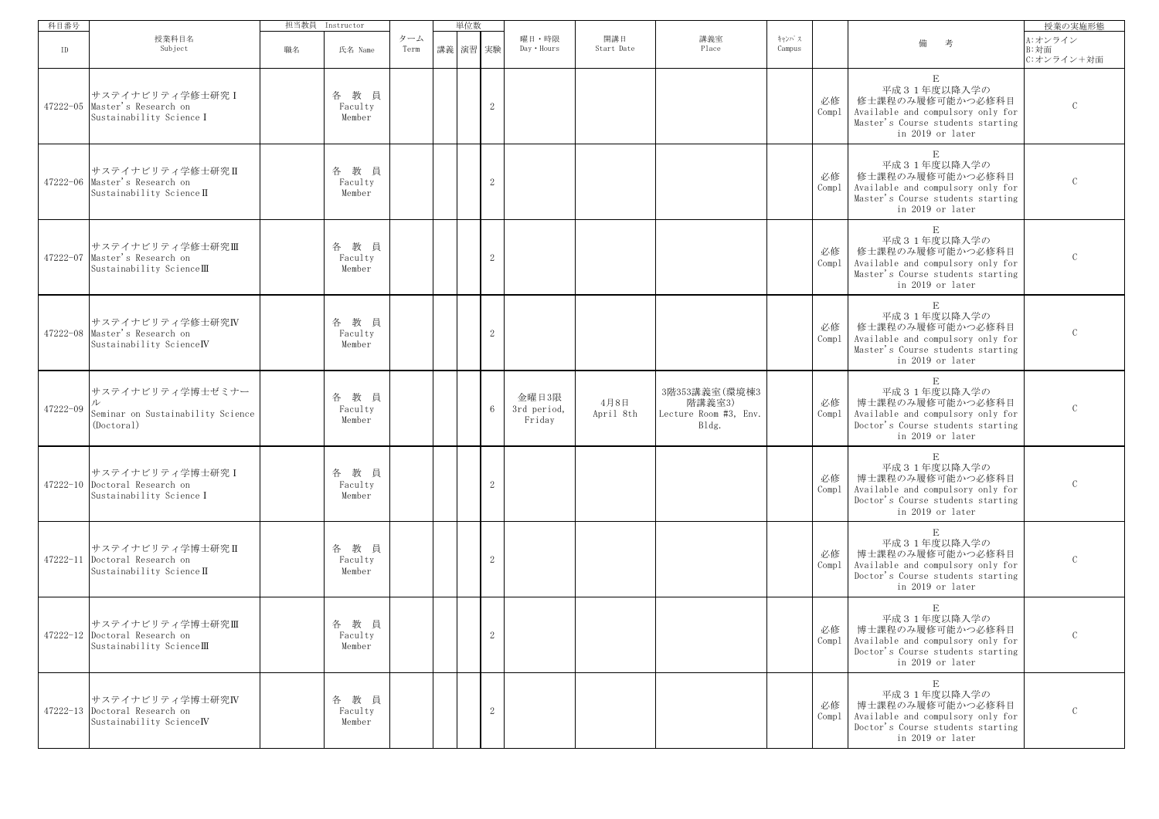| 科目番号     |                                                                               | 担当教員 | Instructor                   |             | 単位数      |                |                                |                   |                                                           |                 |             |                                                                                                                                              | 授業の実施形態                       |
|----------|-------------------------------------------------------------------------------|------|------------------------------|-------------|----------|----------------|--------------------------------|-------------------|-----------------------------------------------------------|-----------------|-------------|----------------------------------------------------------------------------------------------------------------------------------------------|-------------------------------|
| ID       | 授業科目名<br>Subject                                                              | 職名   | 氏名 Name                      | ターム<br>Term | 講義 演習 実験 |                | 曜日・時限<br>Day . Hours           | 開講日<br>Start Date | 講義室<br>Place                                              | キャンパス<br>Campus |             | 考<br>備                                                                                                                                       | A:オンライン<br>B:対面<br>C:オンライン+対面 |
|          | サステイナビリティ学修士研究I<br>47222-05 Master's Research on<br>Sustainability Science I  |      | 教員<br>各<br>Faculty<br>Member |             |          | $\mathbf{2}$   |                                |                   |                                                           |                 | 必修<br>Compl | $\mathbf E$<br>平成31年度以降入学の<br>修士課程のみ履修可能かつ必修科目<br>Available and compulsory only for<br>Master's Course students starting<br>in 2019 or later | $\mathcal{C}$                 |
|          | サステイナビリティ学修士研究Ⅱ<br>47222-06 Master's Research on<br>Sustainability Science II |      | 各教員<br>Faculty<br>Member     |             |          | $\mathbf{2}$   |                                |                   |                                                           |                 | 必修<br>Compl | E<br>平成31年度以降入学の<br>修士課程のみ履修可能かつ必修科目<br>Available and compulsory only for<br>Master's Course students starting<br>in 2019 or later           | $\mathcal{C}$                 |
|          | サステイナビリティ学修士研究Ⅲ<br>47222-07 Master's Research on<br>Sustainability ScienceIII |      | 各教員<br>Faculty<br>Member     |             |          | $\mathbf{2}$   |                                |                   |                                                           |                 | 必修<br>Compl | $\mathbf E$<br>平成31年度以降入学の<br>修士課程のみ履修可能かつ必修科目<br>Available and compulsory only for<br>Master's Course students starting<br>in 2019 or later | $\mathcal{C}$                 |
|          | サステイナビリティ学修士研究IV<br>47222-08 Master's Research on<br>Sustainability ScienceIV |      | 教員<br>各<br>Faculty<br>Member |             |          | $\sqrt{2}$     |                                |                   |                                                           |                 | 必修<br>Compl | $\mathbf E$<br>平成31年度以降入学の<br>修士課程のみ履修可能かつ必修科目<br>Available and compulsory only for<br>Master's Course students starting<br>in 2019 or later | $\mathcal{C}$                 |
| 47222-09 | サステイナビリティ学博士ゼミナー<br>Seminar on Sustainability Science<br>(Doctoral)           |      | 教員<br>各<br>Faculty<br>Member |             |          | $\,6\,$        | 金曜日3限<br>3rd period,<br>Friday | 4月8日<br>April 8th | 3階353講義室(環境棟3<br>階講義室3)<br>Lecture Room #3, Env.<br>Bldg. |                 | 必修<br>Comp1 | $\,$ E<br>平成31年度以降入学の<br>博士課程のみ履修可能かつ必修科目<br>Available and compulsory only for<br>Doctor's Course students starting<br>in 2019 or later      | $\mathcal{C}$                 |
|          | サステイナビリティ学博士研究 I<br>47222-10 Doctoral Research on<br>Sustainability Science I |      | 教員<br>各<br>Faculty<br>Member |             |          | $\sqrt{2}$     |                                |                   |                                                           |                 | 必修<br>Comp1 | $\mathbf E$<br>平成31年度以降入学の<br>博士課程のみ履修可能かつ必修科目<br>Available and compulsory only for<br>Doctor's Course students starting<br>in 2019 or later | $\mathcal{C}$                 |
|          | サステイナビリティ学博士研究Ⅱ<br>47222-11 Doctoral Research on<br>Sustainability Science II |      | 教員<br>各<br>Faculty<br>Member |             |          | $\sqrt{2}$     |                                |                   |                                                           |                 | 必修<br>Compl | $\mathbf E$<br>平成31年度以降入学の<br>博士課程のみ履修可能かつ必修科目<br>Available and compulsory only for<br>Doctor's Course students starting<br>in 2019 or later | $\mathsf C$                   |
|          | サステイナビリティ学博士研究Ⅲ<br>47222-12 Doctoral Research on<br>Sustainability ScienceIII |      | 各教員<br>Faculty<br>Member     |             |          | 2              |                                |                   |                                                           |                 | 必修          | E<br>平成31年度以降入学の<br>博士課程のみ履修可能かつ必修科目<br>Compl   Available and compulsory only for<br>Doctor's Course students starting<br>in 2019 or later   | $\mathcal{C}$                 |
|          | サステイナビリティ学博士研究IV<br>47222-13 Doctoral Research on<br>Sustainability ScienceIV |      | 各教員<br>Faculty<br>Member     |             |          | $\overline{2}$ |                                |                   |                                                           |                 | 必修<br>Compl | E<br>平成31年度以降入学の<br>博士課程のみ履修可能かつ必修科目<br>Available and compulsory only for<br>Doctor's Course students starting<br>in 2019 or later           | $\mathcal{C}$                 |